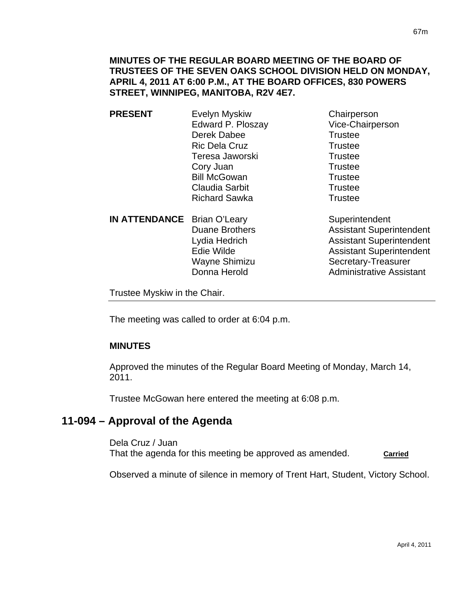**MINUTES OF THE REGULAR BOARD MEETING OF THE BOARD OF TRUSTEES OF THE SEVEN OAKS SCHOOL DIVISION HELD ON MONDAY, APRIL 4, 2011 AT 6:00 P.M., AT THE BOARD OFFICES, 830 POWERS STREET, WINNIPEG, MANITOBA, R2V 4E7.** 

- **PRESENT** Evelyn Myskiw Chairperson Edward P. Ploszay Vice-Chairperson Derek Dabee Trustee Ric Dela Cruz Trustee Teresa Jaworski **Trustee** Cory Juan Trustee Bill McGowan Trustee Claudia Sarbit **Trustee** Richard Sawka Trustee
- **IN ATTENDANCE** Brian O'Leary Superintendent Donna Herold **Administrative Assistant**

Duane Brothers **Assistant Superintendent** Lydia Hedrich **Assistant Superintendent** Edie Wilde **Assistant Superintendent** Wayne Shimizu Secretary-Treasurer

Trustee Myskiw in the Chair.

The meeting was called to order at 6:04 p.m.

### **MINUTES**

Approved the minutes of the Regular Board Meeting of Monday, March 14, 2011.

Trustee McGowan here entered the meeting at 6:08 p.m.

## **11-094 – Approval of the Agenda**

Dela Cruz / Juan That the agenda for this meeting be approved as amended. **Carried** 

Observed a minute of silence in memory of Trent Hart, Student, Victory School.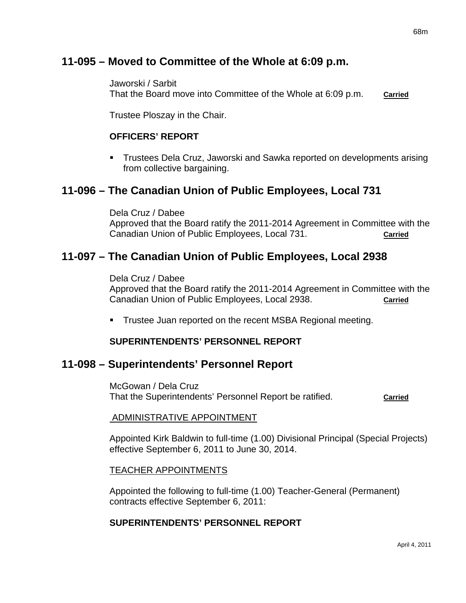# **11-095 – Moved to Committee of the Whole at 6:09 p.m.**

Jaworski / Sarbit That the Board move into Committee of the Whole at 6:09 p.m. **Carried**

Trustee Ploszay in the Chair.

### **OFFICERS' REPORT**

 Trustees Dela Cruz, Jaworski and Sawka reported on developments arising from collective bargaining.

# **11-096 – The Canadian Union of Public Employees, Local 731**

Dela Cruz / Dabee Approved that the Board ratify the 2011-2014 Agreement in Committee with the Canadian Union of Public Employees, Local 731. **Carried**

# **11-097 – The Canadian Union of Public Employees, Local 2938**

Dela Cruz / Dabee Approved that the Board ratify the 2011-2014 Agreement in Committee with the Canadian Union of Public Employees, Local 2938. **Carried**

**Trustee Juan reported on the recent MSBA Regional meeting.** 

### **SUPERINTENDENTS' PERSONNEL REPORT**

## **11-098 – Superintendents' Personnel Report**

McGowan / Dela Cruz That the Superintendents' Personnel Report be ratified. **Carried**

### ADMINISTRATIVE APPOINTMENT

Appointed Kirk Baldwin to full-time (1.00) Divisional Principal (Special Projects) effective September 6, 2011 to June 30, 2014.

### TEACHER APPOINTMENTS

Appointed the following to full-time (1.00) Teacher-General (Permanent) contracts effective September 6, 2011:

### **SUPERINTENDENTS' PERSONNEL REPORT**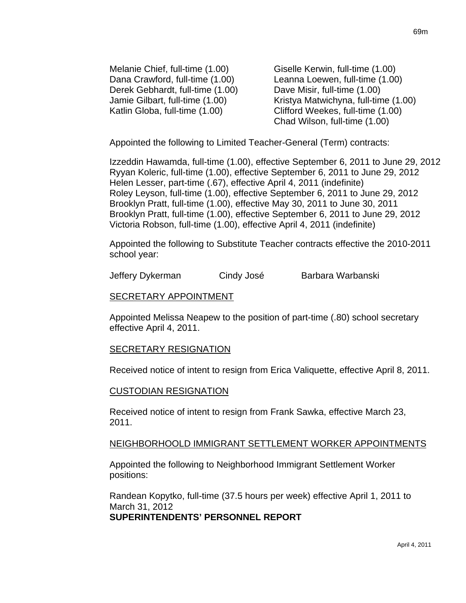Melanie Chief, full-time (1.00) Giselle Kerwin, full-time (1.00) Derek Gebhardt, full-time (1.00) Dave Misir, full-time (1.00)

Dana Crawford, full-time (1.00) Leanna Loewen, full-time (1.00) Jamie Gilbart, full-time (1.00) Kristya Matwichyna, full-time (1.00) Katlin Globa, full-time (1.00) Clifford Weekes, full-time (1.00) Chad Wilson, full-time (1.00)

Appointed the following to Limited Teacher-General (Term) contracts:

Izzeddin Hawamda, full-time (1.00), effective September 6, 2011 to June 29, 2012 Ryyan Koleric, full-time (1.00), effective September 6, 2011 to June 29, 2012 Helen Lesser, part-time (.67), effective April 4, 2011 (indefinite) Roley Leyson, full-time (1.00), effective September 6, 2011 to June 29, 2012 Brooklyn Pratt, full-time (1.00), effective May 30, 2011 to June 30, 2011 Brooklyn Pratt, full-time (1.00), effective September 6, 2011 to June 29, 2012 Victoria Robson, full-time (1.00), effective April 4, 2011 (indefinite)

Appointed the following to Substitute Teacher contracts effective the 2010-2011 school year:

Jeffery Dykerman Cindy José Barbara Warbanski

#### SECRETARY APPOINTMENT

Appointed Melissa Neapew to the position of part-time (.80) school secretary effective April 4, 2011.

#### SECRETARY RESIGNATION

Received notice of intent to resign from Erica Valiquette, effective April 8, 2011.

#### CUSTODIAN RESIGNATION

Received notice of intent to resign from Frank Sawka, effective March 23, 2011.

#### NEIGHBORHOOLD IMMIGRANT SETTLEMENT WORKER APPOINTMENTS

Appointed the following to Neighborhood Immigrant Settlement Worker positions:

Randean Kopytko, full-time (37.5 hours per week) effective April 1, 2011 to March 31, 2012 **SUPERINTENDENTS' PERSONNEL REPORT**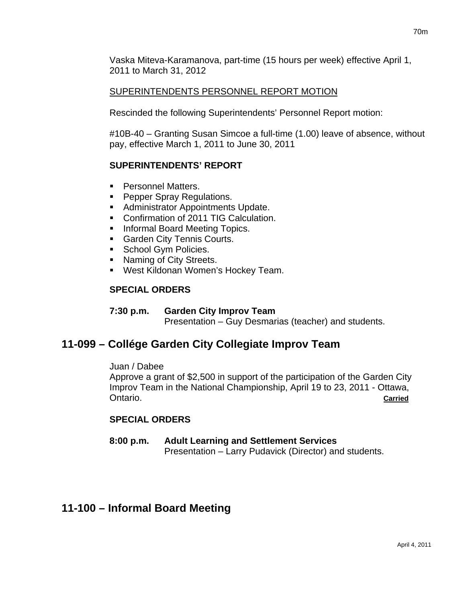## SUPERINTENDENTS PERSONNEL REPORT MOTION

Rescinded the following Superintendents' Personnel Report motion:

#10B-40 – Granting Susan Simcoe a full-time (1.00) leave of absence, without pay, effective March 1, 2011 to June 30, 2011

## **SUPERINTENDENTS' REPORT**

- **Personnel Matters.**
- **Pepper Spray Regulations.**
- **Administrator Appointments Update.**
- **Confirmation of 2011 TIG Calculation.**
- **Informal Board Meeting Topics.**
- **Garden City Tennis Courts.**
- **School Gym Policies.**
- Naming of City Streets.
- West Kildonan Women's Hockey Team.

## **SPECIAL ORDERS**

## **7:30 p.m. Garden City Improv Team**

Presentation – Guy Desmarias (teacher) and students.

# **11-099 – Collége Garden City Collegiate Improv Team**

### Juan / Dabee

Approve a grant of \$2,500 in support of the participation of the Garden City Improv Team in the National Championship, April 19 to 23, 2011 - Ottawa, Ontario. **Carried**

## **SPECIAL ORDERS**

**8:00 p.m. Adult Learning and Settlement Services** Presentation – Larry Pudavick (Director) and students.

# **11-100 – Informal Board Meeting**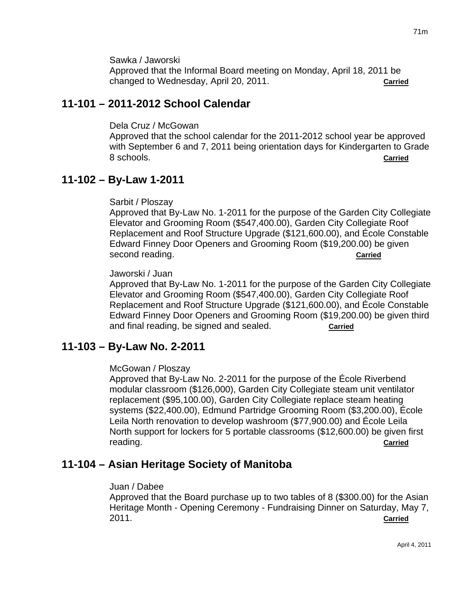Sawka / Jaworski

Approved that the Informal Board meeting on Monday, April 18, 2011 be changed to Wednesday, April 20, 2011. **Carried**

# **11-101 – 2011-2012 School Calendar**

Dela Cruz / McGowan

Approved that the school calendar for the 2011-2012 school year be approved with September 6 and 7, 2011 being orientation days for Kindergarten to Grade 8 schools. **Carried**

# **11-102 – By-Law 1-2011**

### Sarbit / Ploszay

Approved that By-Law No. 1-2011 for the purpose of the Garden City Collegiate Elevator and Grooming Room (\$547,400.00), Garden City Collegiate Roof Replacement and Roof Structure Upgrade (\$121,600.00), and École Constable Edward Finney Door Openers and Grooming Room (\$19,200.00) be given second reading. **Carried**

### Jaworski / Juan

Approved that By-Law No. 1-2011 for the purpose of the Garden City Collegiate Elevator and Grooming Room (\$547,400.00), Garden City Collegiate Roof Replacement and Roof Structure Upgrade (\$121,600.00), and École Constable Edward Finney Door Openers and Grooming Room (\$19,200.00) be given third and final reading, be signed and sealed. **Carried**

## **11-103 – By-Law No. 2-2011**

#### McGowan / Ploszay

Approved that By-Law No. 2-2011 for the purpose of the École Riverbend modular classroom (\$126,000), Garden City Collegiate steam unit ventilator replacement (\$95,100.00), Garden City Collegiate replace steam heating systems (\$22,400.00), Edmund Partridge Grooming Room (\$3,200.00), École Leila North renovation to develop washroom (\$77,900.00) and École Leila North support for lockers for 5 portable classrooms (\$12,600.00) be given first reading. **Carried**

# **11-104 – Asian Heritage Society of Manitoba**

#### Juan / Dabee

Approved that the Board purchase up to two tables of 8 (\$300.00) for the Asian Heritage Month - Opening Ceremony - Fundraising Dinner on Saturday, May 7, 2011. **Carried**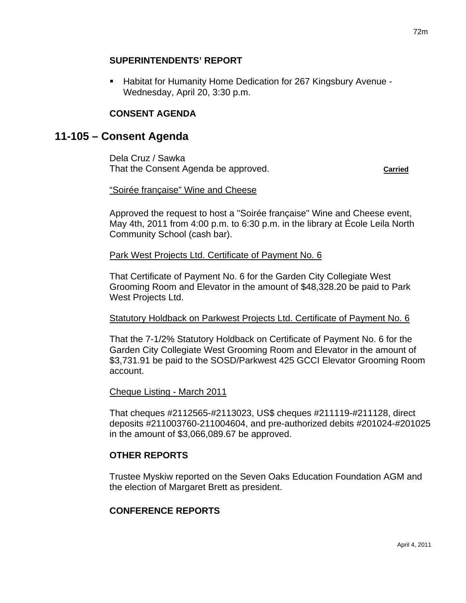■ Habitat for Humanity Home Dedication for 267 Kingsbury Avenue -Wednesday, April 20, 3:30 p.m.

## **CONSENT AGENDA**

# **11-105 – Consent Agenda**

Dela Cruz / Sawka That the Consent Agenda be approved. **Carried**

#### "Soirée française" Wine and Cheese

Approved the request to host a "Soirée française" Wine and Cheese event, May 4th, 2011 from 4:00 p.m. to 6:30 p.m. in the library at École Leila North Community School (cash bar).

#### Park West Projects Ltd. Certificate of Payment No. 6

That Certificate of Payment No. 6 for the Garden City Collegiate West Grooming Room and Elevator in the amount of \$48,328.20 be paid to Park West Projects Ltd.

### Statutory Holdback on Parkwest Projects Ltd. Certificate of Payment No. 6

That the 7-1/2% Statutory Holdback on Certificate of Payment No. 6 for the Garden City Collegiate West Grooming Room and Elevator in the amount of \$3,731.91 be paid to the SOSD/Parkwest 425 GCCI Elevator Grooming Room account.

#### Cheque Listing - March 2011

That cheques #2112565-#2113023, US\$ cheques #211119-#211128, direct deposits #211003760-211004604, and pre-authorized debits #201024-#201025 in the amount of \$3,066,089.67 be approved.

### **OTHER REPORTS**

Trustee Myskiw reported on the Seven Oaks Education Foundation AGM and the election of Margaret Brett as president.

### **CONFERENCE REPORTS**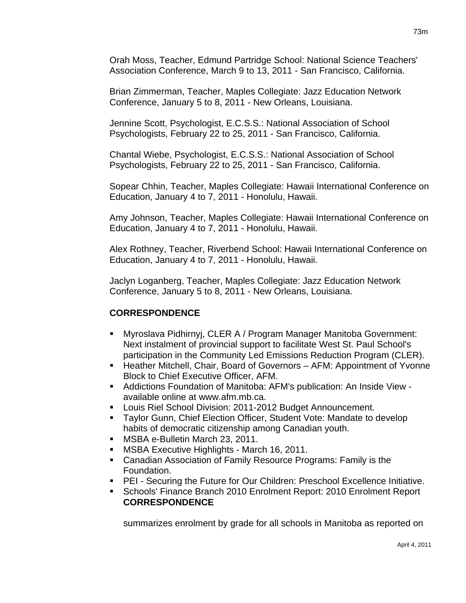Orah Moss, Teacher, Edmund Partridge School: National Science Teachers' Association Conference, March 9 to 13, 2011 - San Francisco, California.

Brian Zimmerman, Teacher, Maples Collegiate: Jazz Education Network Conference, January 5 to 8, 2011 - New Orleans, Louisiana.

Jennine Scott, Psychologist, E.C.S.S.: National Association of School Psychologists, February 22 to 25, 2011 - San Francisco, California.

Chantal Wiebe, Psychologist, E.C.S.S.: National Association of School Psychologists, February 22 to 25, 2011 - San Francisco, California.

Sopear Chhin, Teacher, Maples Collegiate: Hawaii International Conference on Education, January 4 to 7, 2011 - Honolulu, Hawaii.

Amy Johnson, Teacher, Maples Collegiate: Hawaii International Conference on Education, January 4 to 7, 2011 - Honolulu, Hawaii.

Alex Rothney, Teacher, Riverbend School: Hawaii International Conference on Education, January 4 to 7, 2011 - Honolulu, Hawaii.

Jaclyn Loganberg, Teacher, Maples Collegiate: Jazz Education Network Conference, January 5 to 8, 2011 - New Orleans, Louisiana.

## **CORRESPONDENCE**

- Myroslava Pidhirnyj, CLER A / Program Manager Manitoba Government: Next instalment of provincial support to facilitate West St. Paul School's participation in the Community Led Emissions Reduction Program (CLER).
- **Heather Mitchell, Chair, Board of Governors AFM: Appointment of Yvonne** Block to Chief Executive Officer, AFM.
- Addictions Foundation of Manitoba: AFM's publication: An Inside View available online at www.afm.mb.ca.
- Louis Riel School Division: 2011-2012 Budget Announcement.
- Taylor Gunn, Chief Election Officer, Student Vote: Mandate to develop habits of democratic citizenship among Canadian youth.
- **MSBA e-Bulletin March 23, 2011.**
- MSBA Executive Highlights March 16, 2011.
- **Canadian Association of Family Resource Programs: Family is the** Foundation.
- **PEI Securing the Future for Our Children: Preschool Excellence Initiative.**
- Schools' Finance Branch 2010 Enrolment Report: 2010 Enrolment Report **CORRESPONDENCE**

summarizes enrolment by grade for all schools in Manitoba as reported on